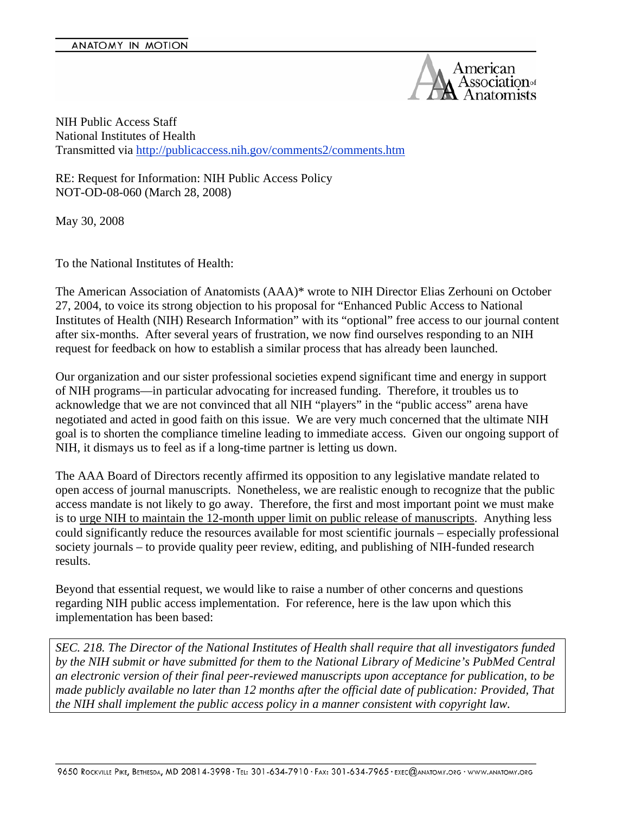

NIH Public Access Staff National Institutes of Health Transmitted via http://publicaccess.nih.gov/comments2/comments.htm

RE: Request for Information: NIH Public Access Policy NOT-OD-08-060 (March 28, 2008)

May 30, 2008

To the National Institutes of Health:

The American Association of Anatomists (AAA)\* wrote to NIH Director Elias Zerhouni on October 27, 2004, to voice its strong objection to his proposal for "Enhanced Public Access to National Institutes of Health (NIH) Research Information" with its "optional" free access to our journal content after six-months. After several years of frustration, we now find ourselves responding to an NIH request for feedback on how to establish a similar process that has already been launched.

Our organization and our sister professional societies expend significant time and energy in support of NIH programs—in particular advocating for increased funding. Therefore, it troubles us to acknowledge that we are not convinced that all NIH "players" in the "public access" arena have negotiated and acted in good faith on this issue. We are very much concerned that the ultimate NIH goal is to shorten the compliance timeline leading to immediate access. Given our ongoing support of NIH, it dismays us to feel as if a long-time partner is letting us down.

The AAA Board of Directors recently affirmed its opposition to any legislative mandate related to open access of journal manuscripts. Nonetheless, we are realistic enough to recognize that the public access mandate is not likely to go away. Therefore, the first and most important point we must make is to urge NIH to maintain the 12-month upper limit on public release of manuscripts. Anything less could significantly reduce the resources available for most scientific journals – especially professional society journals – to provide quality peer review, editing, and publishing of NIH-funded research results.

Beyond that essential request, we would like to raise a number of other concerns and questions regarding NIH public access implementation. For reference, here is the law upon which this implementation has been based:

*SEC. 218. The Director of the National Institutes of Health shall require that all investigators funded by the NIH submit or have submitted for them to the National Library of Medicine's PubMed Central an electronic version of their final peer-reviewed manuscripts upon acceptance for publication, to be made publicly available no later than 12 months after the official date of publication: Provided, That the NIH shall implement the public access policy in a manner consistent with copyright law.*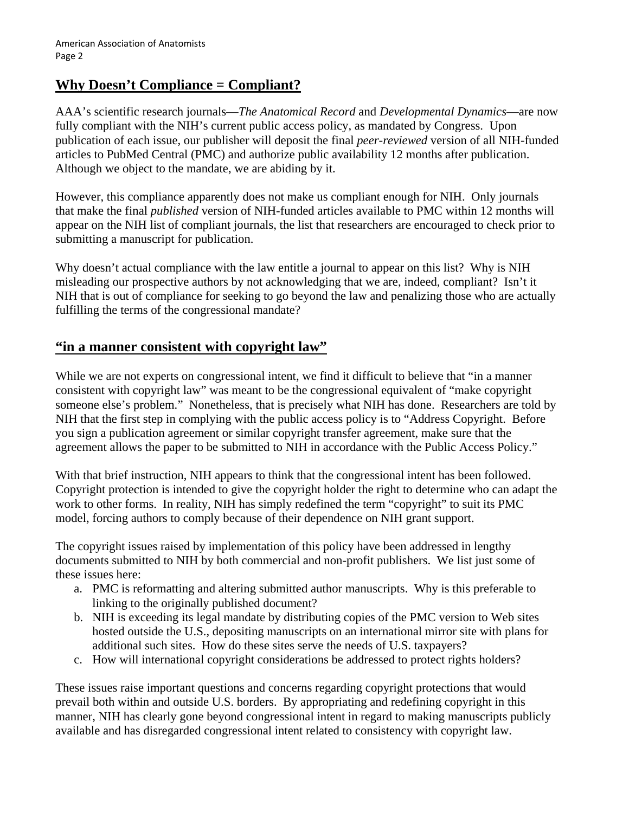# **Why Doesn't Compliance = Compliant?**

AAA's scientific research journals—*The Anatomical Record* and *Developmental Dynamics*—are now fully compliant with the NIH's current public access policy, as mandated by Congress. Upon publication of each issue, our publisher will deposit the final *peer-reviewed* version of all NIH-funded articles to PubMed Central (PMC) and authorize public availability 12 months after publication. Although we object to the mandate, we are abiding by it.

However, this compliance apparently does not make us compliant enough for NIH. Only journals that make the final *published* version of NIH-funded articles available to PMC within 12 months will appear on the NIH list of compliant journals, the list that researchers are encouraged to check prior to submitting a manuscript for publication.

Why doesn't actual compliance with the law entitle a journal to appear on this list? Why is NIH misleading our prospective authors by not acknowledging that we are, indeed, compliant? Isn't it NIH that is out of compliance for seeking to go beyond the law and penalizing those who are actually fulfilling the terms of the congressional mandate?

#### **"in a manner consistent with copyright law"**

While we are not experts on congressional intent, we find it difficult to believe that "in a manner" consistent with copyright law" was meant to be the congressional equivalent of "make copyright someone else's problem." Nonetheless, that is precisely what NIH has done. Researchers are told by NIH that the first step in complying with the public access policy is to "Address Copyright. Before you sign a publication agreement or similar copyright transfer agreement, make sure that the agreement allows the paper to be submitted to NIH in accordance with the Public Access Policy."

With that brief instruction, NIH appears to think that the congressional intent has been followed. Copyright protection is intended to give the copyright holder the right to determine who can adapt the work to other forms. In reality, NIH has simply redefined the term "copyright" to suit its PMC model, forcing authors to comply because of their dependence on NIH grant support.

The copyright issues raised by implementation of this policy have been addressed in lengthy documents submitted to NIH by both commercial and non-profit publishers. We list just some of these issues here:

- a. PMC is reformatting and altering submitted author manuscripts. Why is this preferable to linking to the originally published document?
- b. NIH is exceeding its legal mandate by distributing copies of the PMC version to Web sites hosted outside the U.S., depositing manuscripts on an international mirror site with plans for additional such sites. How do these sites serve the needs of U.S. taxpayers?
- c. How will international copyright considerations be addressed to protect rights holders?

These issues raise important questions and concerns regarding copyright protections that would prevail both within and outside U.S. borders. By appropriating and redefining copyright in this manner, NIH has clearly gone beyond congressional intent in regard to making manuscripts publicly available and has disregarded congressional intent related to consistency with copyright law.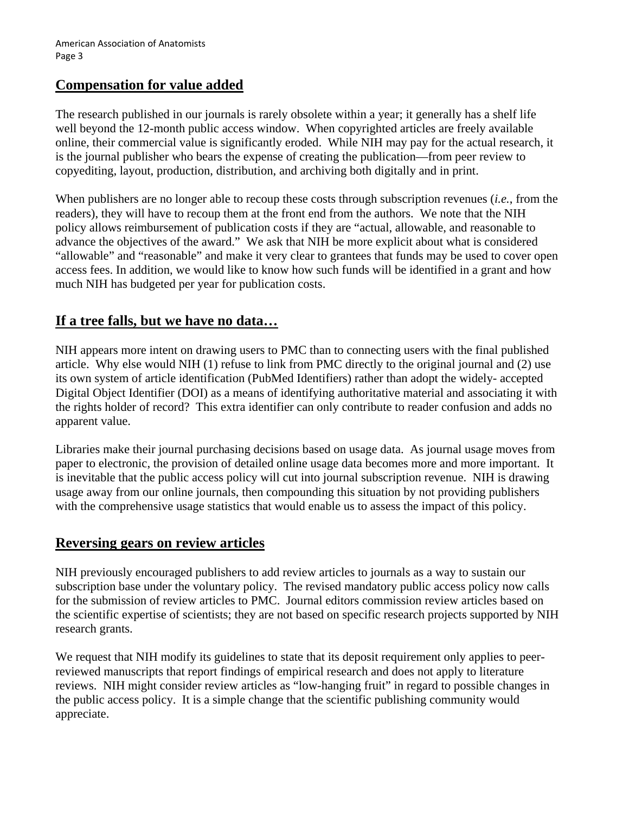# **Compensation for value added**

The research published in our journals is rarely obsolete within a year; it generally has a shelf life well beyond the 12-month public access window. When copyrighted articles are freely available online, their commercial value is significantly eroded. While NIH may pay for the actual research, it is the journal publisher who bears the expense of creating the publication—from peer review to copyediting, layout, production, distribution, and archiving both digitally and in print.

When publishers are no longer able to recoup these costs through subscription revenues (*i.e.*, from the readers), they will have to recoup them at the front end from the authors. We note that the NIH policy allows reimbursement of publication costs if they are "actual, allowable, and reasonable to advance the objectives of the award." We ask that NIH be more explicit about what is considered "allowable" and "reasonable" and make it very clear to grantees that funds may be used to cover open access fees. In addition, we would like to know how such funds will be identified in a grant and how much NIH has budgeted per year for publication costs.

# **If a tree falls, but we have no data…**

NIH appears more intent on drawing users to PMC than to connecting users with the final published article. Why else would NIH (1) refuse to link from PMC directly to the original journal and (2) use its own system of article identification (PubMed Identifiers) rather than adopt the widely- accepted Digital Object Identifier (DOI) as a means of identifying authoritative material and associating it with the rights holder of record? This extra identifier can only contribute to reader confusion and adds no apparent value.

Libraries make their journal purchasing decisions based on usage data. As journal usage moves from paper to electronic, the provision of detailed online usage data becomes more and more important. It is inevitable that the public access policy will cut into journal subscription revenue. NIH is drawing usage away from our online journals, then compounding this situation by not providing publishers with the comprehensive usage statistics that would enable us to assess the impact of this policy.

#### **Reversing gears on review articles**

NIH previously encouraged publishers to add review articles to journals as a way to sustain our subscription base under the voluntary policy. The revised mandatory public access policy now calls for the submission of review articles to PMC. Journal editors commission review articles based on the scientific expertise of scientists; they are not based on specific research projects supported by NIH research grants.

We request that NIH modify its guidelines to state that its deposit requirement only applies to peerreviewed manuscripts that report findings of empirical research and does not apply to literature reviews. NIH might consider review articles as "low-hanging fruit" in regard to possible changes in the public access policy. It is a simple change that the scientific publishing community would appreciate.